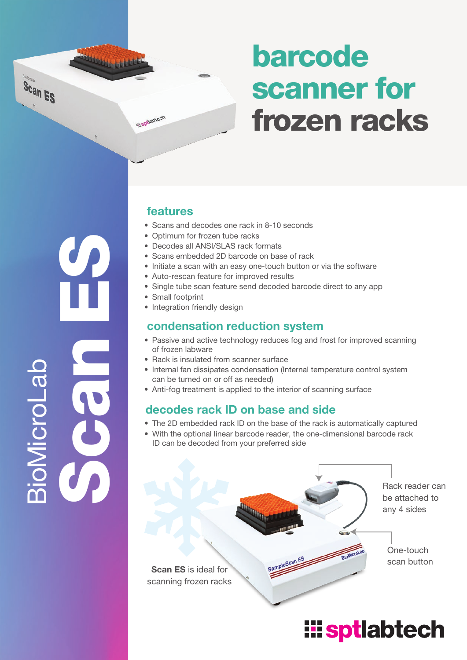## barcode scanner for frozen racks

### $\mathcal{G}$  $\mathbf C$ **a**  $\boldsymbol{v}_1$ o<br>G <u>Si</u> ـــا o Lab

### features

**Ili**spilabtech

**Library Color** 

Scan ES

- Scans and decodes one rack in 8-10 seconds
- Optimum for frozen tube racks
- Decodes all ANSI/SLAS rack formats
- Scans embedded 2D barcode on base of rack
- Initiate a scan with an easy one-touch button or via the software
- Auto-rescan feature for improved results
- Single tube scan feature send decoded barcode direct to any app
- Small footprint
- Integration friendly design

#### condensation reduction system

- Passive and active technology reduces fog and frost for improved scanning of frozen labware
- Rack is insulated from scanner surface
- Internal fan dissipates condensation (Internal temperature control system can be turned on or off as needed)
- Anti-fog treatment is applied to the interior of scanning surface

### decodes rack ID on base and side

- The 2D embedded rack ID on the base of the rack is automatically captured
- With the optional linear barcode reader, the one-dimensional barcode rack ID can be decoded from your preferred side

Rack reader can be attached to any 4 sides One-touch scan button Scan ES is ideal for scanning frozen racks